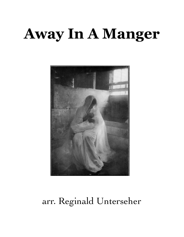## **Away In A Manger**



## arr. Reginald Unterseher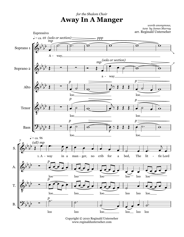## **Away In A Manger** *for the Shalom Choir*

*words anonymous, tune by James Murray* arr. Reginald Unterseher



Copyright © 2010 Reginald Unterseher www.reginaldunterseher.com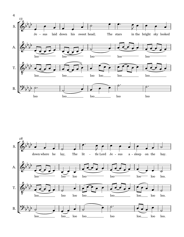

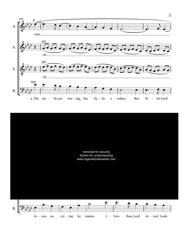

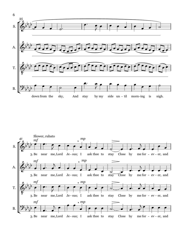